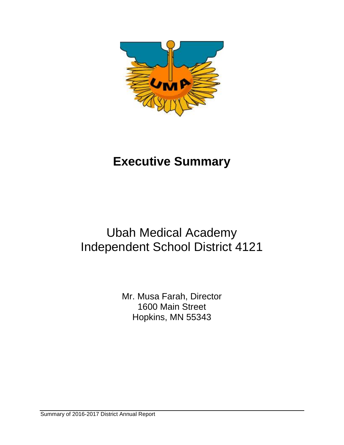

# **Executive Summary**

## Ubah Medical Academy Independent School District 4121

Mr. Musa Farah, Director 1600 Main Street Hopkins, MN 55343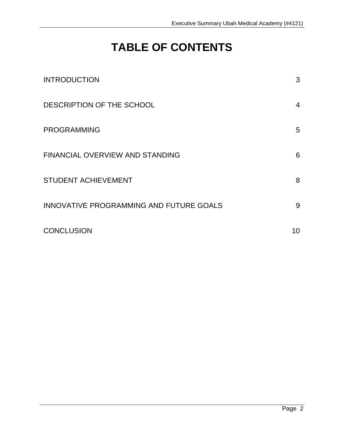## **TABLE OF CONTENTS**

| <b>INTRODUCTION</b>                     | 3  |
|-----------------------------------------|----|
| DESCRIPTION OF THE SCHOOL               | 4  |
| <b>PROGRAMMING</b>                      | 5  |
| <b>FINANCIAL OVERVIEW AND STANDING</b>  | 6  |
| <b>STUDENT ACHIEVEMENT</b>              | 8  |
| INNOVATIVE PROGRAMMING AND FUTURE GOALS | 9  |
| <b>CONCLUSION</b>                       | 10 |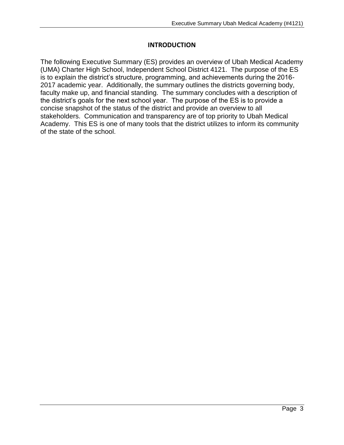#### **INTRODUCTION**

The following Executive Summary (ES) provides an overview of Ubah Medical Academy (UMA) Charter High School, Independent School District 4121. The purpose of the ES is to explain the district's structure, programming, and achievements during the 2016- 2017 academic year. Additionally, the summary outlines the districts governing body, faculty make up, and financial standing. The summary concludes with a description of the district's goals for the next school year. The purpose of the ES is to provide a concise snapshot of the status of the district and provide an overview to all stakeholders. Communication and transparency are of top priority to Ubah Medical Academy. This ES is one of many tools that the district utilizes to inform its community of the state of the school.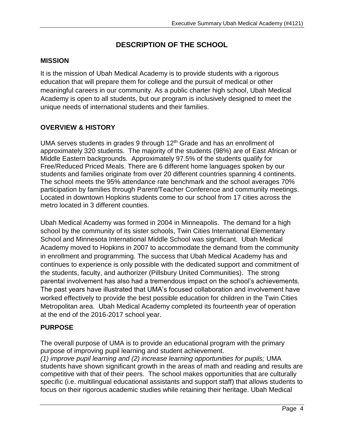## **DESCRIPTION OF THE SCHOOL**

#### **MISSION**

It is the mission of Ubah Medical Academy is to provide students with a rigorous education that will prepare them for college and the pursuit of medical or other meaningful careers in our community. As a public charter high school, Ubah Medical Academy is open to all students, but our program is inclusively designed to meet the unique needs of international students and their families.

### **OVERVIEW & HISTORY**

UMA serves students in grades 9 through  $12<sup>th</sup>$  Grade and has an enrollment of approximately 320 students. The majority of the students (98%) are of East African or Middle Eastern backgrounds. Approximately 97.5% of the students qualify for Free/Reduced Priced Meals. There are 6 different home languages spoken by our students and families originate from over 20 different countries spanning 4 continents. The school meets the 95% attendance rate benchmark and the school averages 70% participation by families through Parent/Teacher Conference and community meetings. Located in downtown Hopkins students come to our school from 17 cities across the metro located in 3 different counties.

Ubah Medical Academy was formed in 2004 in Minneapolis. The demand for a high school by the community of its sister schools, Twin Cities International Elementary School and Minnesota International Middle School was significant. Ubah Medical Academy moved to Hopkins in 2007 to accommodate the demand from the community in enrollment and programming. The success that Ubah Medical Academy has and continues to experience is only possible with the dedicated support and commitment of the students, faculty, and authorizer (Pillsbury United Communities). The strong parental involvement has also had a tremendous impact on the school's achievements. The past years have illustrated that UMA's focused collaboration and involvement have worked effectively to provide the best possible education for children in the Twin Cities Metropolitan area. Ubah Medical Academy completed its fourteenth year of operation at the end of the 2016-2017 school year.

#### **PURPOSE**

The overall purpose of UMA is to provide an educational program with the primary purpose of improving pupil learning and student achievement. *(1) improve pupil learning and (2) increase learning opportunities for pupils;* UMA students have shown significant growth in the areas of math and reading and results are competitive with that of their peers. The school makes opportunities that are culturally specific (i.e. multilingual educational assistants and support staff) that allows students to focus on their rigorous academic studies while retaining their heritage. Ubah Medical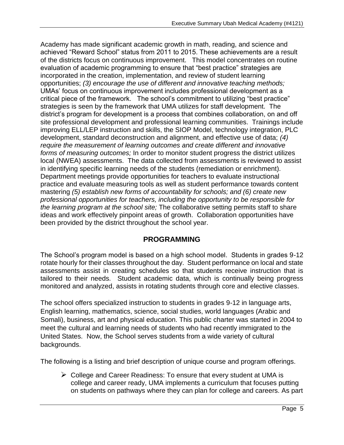Academy has made significant academic growth in math, reading, and science and achieved "Reward School" status from 2011 to 2015. These achievements are a result of the districts focus on continuous improvement. This model concentrates on routine evaluation of academic programming to ensure that "best practice" strategies are incorporated in the creation, implementation, and review of student learning opportunities; *(3) encourage the use of different and innovative teaching methods;* UMAs' focus on continuous improvement includes professional development as a critical piece of the framework. The school's commitment to utilizing "best practice" strategies is seen by the framework that UMA utilizes for staff development. The district's program for development is a process that combines collaboration, on and off site professional development and professional learning communities. Trainings include improving ELL/LEP instruction and skills, the SIOP Model, technology integration, PLC development, standard deconstruction and alignment, and effective use of data; *(4) require the measurement of learning outcomes and create different and innovative forms of measuring outcomes;* In order to monitor student progress the district utilizes local (NWEA) assessments. The data collected from assessments is reviewed to assist in identifying specific learning needs of the students (remediation or enrichment). Department meetings provide opportunities for teachers to evaluate instructional practice and evaluate measuring tools as well as student performance towards content mastering *(5) establish new forms of accountability for schools; and (6) create new professional opportunities for teachers, including the opportunity to be responsible for the learning program at the school site;* The collaborative setting permits staff to share ideas and work effectively pinpoint areas of growth. Collaboration opportunities have been provided by the district throughout the school year.

#### **PROGRAMMING**

The School's program model is based on a high school model. Students in grades 9-12 rotate hourly for their classes throughout the day. Student performance on local and state assessments assist in creating schedules so that students receive instruction that is tailored to their needs. Student academic data, which is continually being progress monitored and analyzed, assists in rotating students through core and elective classes.

The school offers specialized instruction to students in grades 9-12 in language arts, English learning, mathematics, science, social studies, world languages (Arabic and Somali), business, art and physical education. This public charter was started in 2004 to meet the cultural and learning needs of students who had recently immigrated to the United States. Now, the School serves students from a wide variety of cultural backgrounds.

The following is a listing and brief description of unique course and program offerings.

 $\triangleright$  College and Career Readiness: To ensure that every student at UMA is college and career ready, UMA implements a curriculum that focuses putting on students on pathways where they can plan for college and careers. As part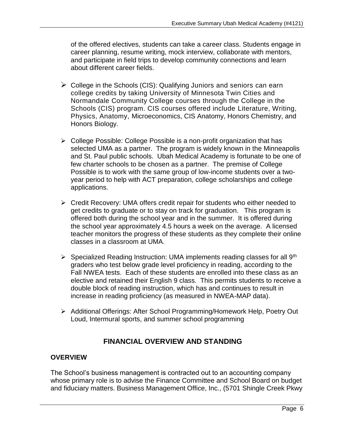of the offered electives, students can take a career class. Students engage in career planning, resume writing, mock interview, collaborate with mentors, and participate in field trips to develop community connections and learn about different career fields.

- $\triangleright$  College in the Schools (CIS): Qualifying Juniors and seniors can earn college credits by taking University of Minnesota Twin Cities and Normandale Community College courses through the College in the Schools (CIS) program. CIS courses offered include Literature, Writing, Physics, Anatomy, Microeconomics, CIS Anatomy, Honors Chemistry, and Honors Biology.
- ➢ College Possible: College Possible is a non-profit organization that has selected UMA as a partner. The program is widely known in the Minneapolis and St. Paul public schools. Ubah Medical Academy is fortunate to be one of few charter schools to be chosen as a partner. The premise of College Possible is to work with the same group of low-income students over a twoyear period to help with ACT preparation, college scholarships and college applications.
- ➢ Credit Recovery: UMA offers credit repair for students who either needed to get credits to graduate or to stay on track for graduation. This program is offered both during the school year and in the summer. It is offered during the school year approximately 4.5 hours a week on the average. A licensed teacher monitors the progress of these students as they complete their online classes in a classroom at UMA.
- $\triangleright$  Specialized Reading Instruction: UMA implements reading classes for all 9<sup>th</sup> graders who test below grade level proficiency in reading, according to the Fall NWEA tests. Each of these students are enrolled into these class as an elective and retained their English 9 class. This permits students to receive a double block of reading instruction, which has and continues to result in increase in reading proficiency (as measured in NWEA-MAP data).
- ➢ Additional Offerings: After School Programming/Homework Help, Poetry Out Loud, Intermural sports, and summer school programming

## **FINANCIAL OVERVIEW AND STANDING**

#### **OVERVIEW**

The School's business management is contracted out to an accounting company whose primary role is to advise the Finance Committee and School Board on budget and fiduciary matters. Business Management Office, Inc., (5701 Shingle Creek Pkwy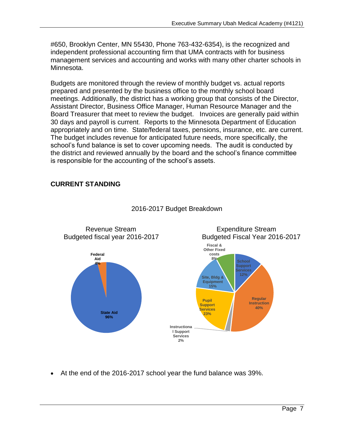#650, Brooklyn Center, MN 55430, Phone 763-432-6354), is the recognized and independent professional accounting firm that UMA contracts with for business management services and accounting and works with many other charter schools in Minnesota.

Budgets are monitored through the review of monthly budget vs. actual reports prepared and presented by the business office to the monthly school board meetings. Additionally, the district has a working group that consists of the Director, Assistant Director, Business Office Manager, Human Resource Manager and the Board Treasurer that meet to review the budget. Invoices are generally paid within 30 days and payroll is current. Reports to the Minnesota Department of Education appropriately and on time. State/federal taxes, pensions, insurance, etc. are current. The budget includes revenue for anticipated future needs, more specifically, the school's fund balance is set to cover upcoming needs. The audit is conducted by the district and reviewed annually by the board and the school's finance committee is responsible for the accounting of the school's assets.

#### **CURRENT STANDING**



#### 2016-2017 Budget Breakdown

• At the end of the 2016-2017 school year the fund balance was 39%.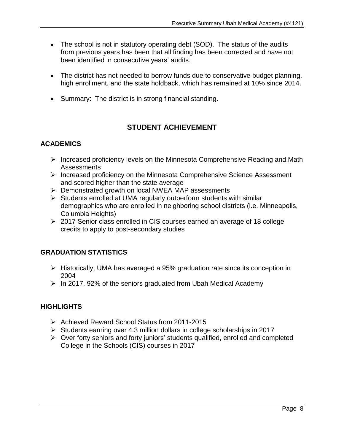- The school is not in statutory operating debt (SOD). The status of the audits from previous years has been that all finding has been corrected and have not been identified in consecutive years' audits.
- The district has not needed to borrow funds due to conservative budget planning, high enrollment, and the state holdback, which has remained at 10% since 2014.
- Summary: The district is in strong financial standing.

## **STUDENT ACHIEVEMENT**

#### **ACADEMICS**

- ➢ Increased proficiency levels on the Minnesota Comprehensive Reading and Math Assessments
- ➢ Increased proficiency on the Minnesota Comprehensive Science Assessment and scored higher than the state average
- ➢ Demonstrated growth on local NWEA MAP assessments
- ➢ Students enrolled at UMA regularly outperform students with similar demographics who are enrolled in neighboring school districts (i.e. Minneapolis, Columbia Heights)
- ➢ 2017 Senior class enrolled in CIS courses earned an average of 18 college credits to apply to post-secondary studies

#### **GRADUATION STATISTICS**

- ➢ Historically, UMA has averaged a 95% graduation rate since its conception in 2004
- $\triangleright$  In 2017, 92% of the seniors graduated from Ubah Medical Academy

#### **HIGHLIGHTS**

- ➢ Achieved Reward School Status from 2011-2015
- ➢ Students earning over 4.3 million dollars in college scholarships in 2017
- ➢ Over forty seniors and forty juniors' students qualified, enrolled and completed College in the Schools (CIS) courses in 2017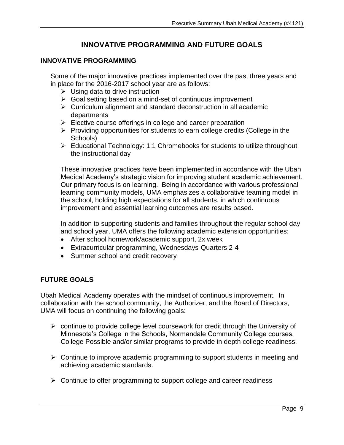### **INNOVATIVE PROGRAMMING AND FUTURE GOALS**

#### **INNOVATIVE PROGRAMMING**

Some of the major innovative practices implemented over the past three years and in place for the 2016-2017 school year are as follows:

- $\triangleright$  Using data to drive instruction
- ➢ Goal setting based on a mind-set of continuous improvement
- ➢ Curriculum alignment and standard deconstruction in all academic departments
- $\triangleright$  Elective course offerings in college and career preparation
- ➢ Providing opportunities for students to earn college credits (College in the Schools)
- ➢ Educational Technology: 1:1 Chromebooks for students to utilize throughout the instructional day

These innovative practices have been implemented in accordance with the Ubah Medical Academy's strategic vision for improving student academic achievement. Our primary focus is on learning. Being in accordance with various professional learning community models, UMA emphasizes a collaborative teaming model in the school, holding high expectations for all students, in which continuous improvement and essential learning outcomes are results based.

In addition to supporting students and families throughout the regular school day and school year, UMA offers the following academic extension opportunities:

- After school homework/academic support, 2x week
- Extracurricular programming, Wednesdays-Quarters 2-4
- Summer school and credit recovery

#### **FUTURE GOALS**

Ubah Medical Academy operates with the mindset of continuous improvement. In collaboration with the school community, the Authorizer, and the Board of Directors, UMA will focus on continuing the following goals:

- ➢ continue to provide college level coursework for credit through the University of Minnesota's College in the Schools, Normandale Community College courses, College Possible and/or similar programs to provide in depth college readiness.
- ➢ Continue to improve academic programming to support students in meeting and achieving academic standards.
- ➢ Continue to offer programming to support college and career readiness